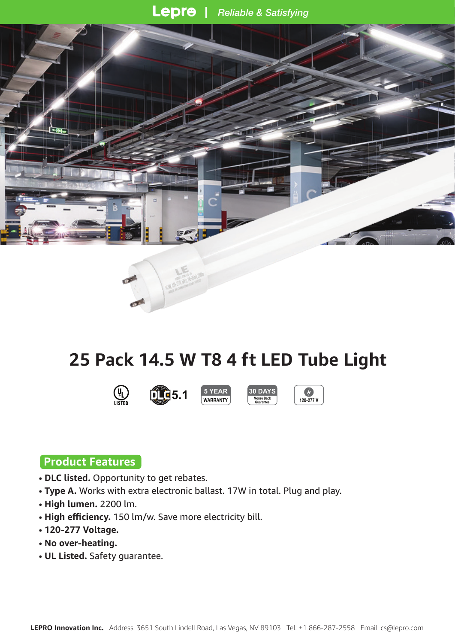Lepre Reliable & Satisfying





# **25 Pack 14.5 W T8 4 ft LED Tube Light**

**30 DAYS Money Back**







#### **Product Features**

- **DLC listed.** Opportunity to get rebates.
- **Type A.** Works with extra electronic ballast. 17W in total. Plug and play.
- **High lumen.** 2200 lm.
- **High efficiency.** 150 lm/w. Save more electricity bill.
- **120-277 Voltage.**
- • **No over-heating.**
- **UL Listed.** Safety guarantee.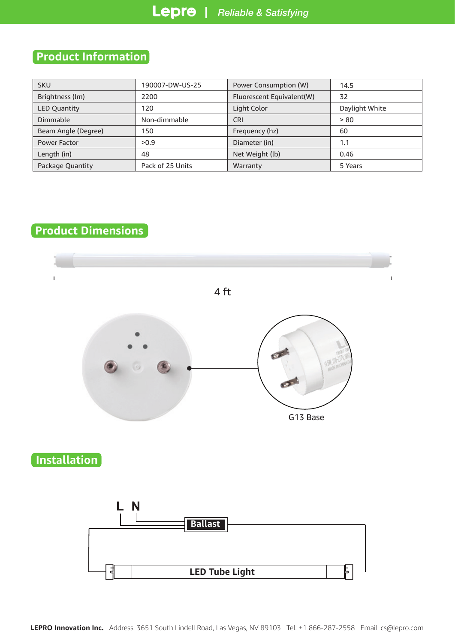## **Product Information**

| <b>SKU</b>          | 190007-DW-US-25  | Power Consumption (W)     | 14.5           |  |
|---------------------|------------------|---------------------------|----------------|--|
| Brightness (lm)     | 2200             | Fluorescent Equivalent(W) | 32             |  |
| <b>LED Quantity</b> | 120              | Light Color               | Daylight White |  |
| Dimmable            | Non-dimmable     | <b>CRI</b>                | > 80           |  |
| Beam Angle (Degree) | 150              | Frequency (hz)            | 60             |  |
| Power Factor        | >0.9             | Diameter (in)             | 1.1            |  |
| Length (in)         | 48               | Net Weight (lb)           | 0.46           |  |
| Package Quantity    | Pack of 25 Units | Warranty                  | 5 Years        |  |

## **Product Dimensions**

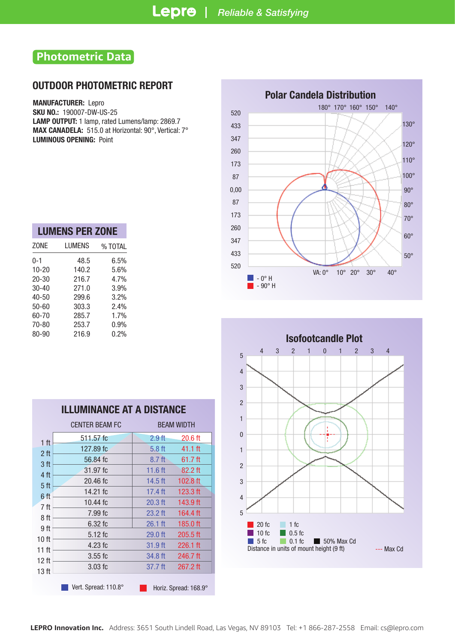#### **Photometric Data**

#### OUTDOOR PHOTOMETRIC REPORT

MANUFACTURER: Lepro

SKU NO.: 190007-DW-US-25 LAMP OUTPUT: 1 lamp, rated Lumens/lamp: 2869.7 MAX CANADELA: 515.0 at Horizontal: 90°, Vertical: 7° LUMINOUS OPENING: Point

| <b>LUMENS PER ZONE</b> |        |         |  |  |  |  |  |
|------------------------|--------|---------|--|--|--|--|--|
| ZONE                   | LUMENS | % TOTAL |  |  |  |  |  |
| $0 - 1$                | 48.5   | 6.5%    |  |  |  |  |  |
| $10 - 20$              | 140.2  | 5.6%    |  |  |  |  |  |
| $20 - 30$              | 216.7  | 4.7%    |  |  |  |  |  |
| $30 - 40$              | 271.0  | 3.9%    |  |  |  |  |  |
| $40 - 50$              | 299.6  | 3.2%    |  |  |  |  |  |
| $50 - 60$              | 303.3  | 2.4%    |  |  |  |  |  |
| 60-70                  | 285.7  | 1.7%    |  |  |  |  |  |
| 70-80                  | 253.7  | 0.9%    |  |  |  |  |  |
| 80-90                  | 216.9  | 0.2%    |  |  |  |  |  |

| <b>ILLUMINANCE AT A DISTANCE</b> |                       |                   |                       |  |  |  |  |
|----------------------------------|-----------------------|-------------------|-----------------------|--|--|--|--|
|                                  | <b>CENTER BEAM FC</b> | <b>BEAM WIDTH</b> |                       |  |  |  |  |
| 1 <sub>ft</sub>                  | 511.57 fc             | $2.9$ ft          | $20.6$ ft             |  |  |  |  |
| 2 <sub>ft</sub>                  | 127.89 fc             | $5.8$ ft          | $41.1$ ft             |  |  |  |  |
| 3 <sub>ft</sub>                  | 56.84 fc              | $8.7$ ft          | $61.7$ ft             |  |  |  |  |
| 4 ft                             | 31.97 fc              | $11.6$ ft         | 82.2 ft               |  |  |  |  |
| 5 ft                             | $20.46$ fc            | $14.5$ ft         | $102.8$ ft            |  |  |  |  |
| 6 ft                             | 14.21 fc              | 17.4 ft           | 123.3 $ft$            |  |  |  |  |
| 7 <sub>ft</sub>                  | 10.44 fc              | $20.3$ ft         | 143.9 ft              |  |  |  |  |
| 8 ft                             | 7.99 fc               | $23.2$ ft         | 164.4 ft              |  |  |  |  |
| 9 ft                             | $6.32$ fc             | $26.1$ ft         | $185.0$ ft            |  |  |  |  |
| 10 ft                            | $5.12$ fc             | 29.0 ft           | $205.5$ ft            |  |  |  |  |
| 11 ft                            | $4.23$ fc             | $31.9$ ft         | $226.1$ ft            |  |  |  |  |
| 12 ft                            | $3.55$ fc             | 34.8 ft           | 246.7 ft              |  |  |  |  |
| 13 ft                            | $3.03$ fc             | $37.7$ ft         | $267.2$ ft            |  |  |  |  |
|                                  | Vert. Spread: 110.8°  |                   | Horiz. Spread: 168.9° |  |  |  |  |